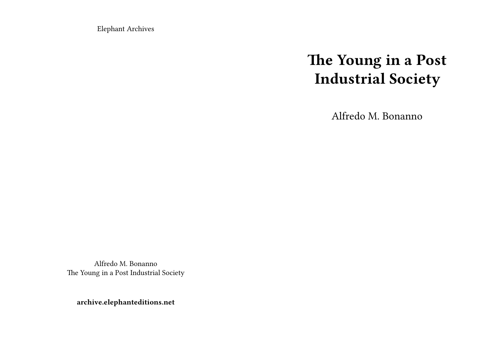Elephant Archives

# **The Young in a Post Industrial Society**

Alfredo M. Bonanno

Alfredo M. Bonanno The Young in a Post Industrial Society

**archive.elephanteditions.net**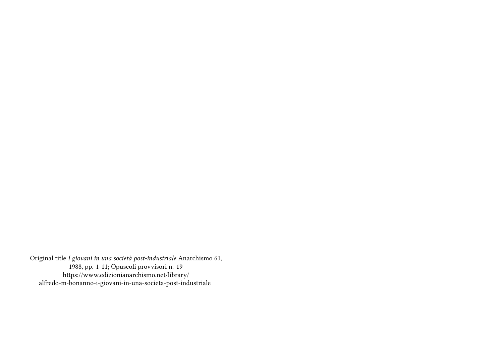Original title *I giovani in una società post-industriale* Anarchismo 61, 1988, pp. 1-11; Opuscoli provvisori n. 19 https://www.edizionianarchismo.net/library/ alfredo-m-bonanno-i-giovani-in-una-societa-post-industriale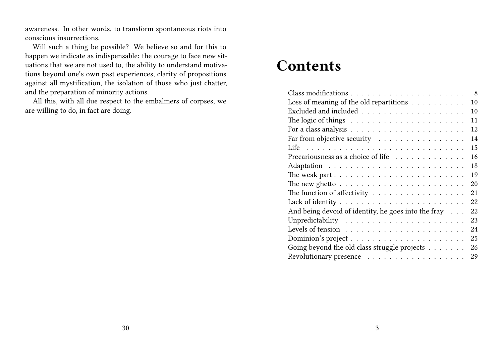awareness. In other words, to transform spontaneous riots into conscious insurrections.

Will such a thing be possible? We believe so and for this to happen we indicate as indispensable: the courage to face new situations that we are not used to, the ability to understand motivations beyond one's own past experiences, clarity of propositions against all mystification, the isolation of those who just chatter, and the preparation of minority actions.

All this, with all due respect to the embalmers of corpses, we are willing to do, in fact are doing.

# **Contents**

| 8                                                                              |
|--------------------------------------------------------------------------------|
| Loss of meaning of the old repartitions<br>10                                  |
| 10                                                                             |
| 11                                                                             |
| 12                                                                             |
| Far from objective security<br>14                                              |
| 15                                                                             |
| Precariousness as a choice of life<br>16                                       |
| 18                                                                             |
| The weak part $\dots \dots \dots \dots \dots \dots \dots \dots \dots$<br>19    |
| The new ghetto $\ldots \ldots \ldots \ldots \ldots \ldots \ldots \ldots$<br>20 |
| The function of affectivity<br>21                                              |
| 22                                                                             |
| And being devoid of identity, he goes into the fray<br>22                      |
| 23                                                                             |
| 24                                                                             |
| 25                                                                             |
| Going beyond the old class struggle projects $\ldots \ldots \ldots$<br>26      |
| Revolutionary presence<br>29                                                   |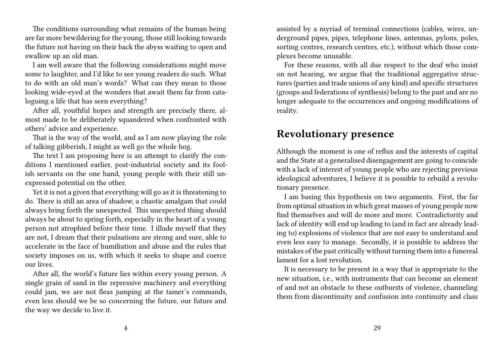The conditions surrounding what remains of the human being are far more bewildering for the young, those still looking towards the future not having on their back the abyss waiting to open and swallow up an old man.

I am well aware that the following considerations might move some to laughter, and I'd like to see young readers do such. What to do with an old man's words? What can they mean to those looking wide-eyed at the wonders that await them far from cataloguing a life that has seen everything?

After all, youthful hopes and strength are precisely there, almost made to be deliberately squandered when confronted with others' advice and experience.

That is the way of the world, and as I am now playing the role of talking gibberish, I might as well go the whole hog.

The text I am proposing here is an attempt to clarify the conditions I mentioned earlier, post-industrial society and its foolish servants on the one hand, young people with their still unexpressed potential on the other.

Yet it is not a given that everything will go as it is threatening to do. There is still an area of shadow, a chaotic amalgam that could always bring forth the unexpected. This unexpected thing should always be about to spring forth, especially in the heart of a young person not atrophied before their time. I illude myself that they are not, I dream that their pulsations are strong and sure, able to accelerate in the face of humiliation and abuse and the rules that society imposes on us, with which it seeks to shape and coerce our lives.

After all, the world's future lies within every young person. A single grain of sand in the repressive machinery and everything could jam, we are not fleas jumping at the tamer's commands, even less should we be so concerning the future, our future and the way we decide to live it.

assisted by a myriad of terminal connections (cables, wires, underground pipes, pipes, telephone lines, antennas, pylons, poles, sorting centres, research centres, etc.), without which those complexes become unusable.

For these reasons, with all due respect to the deaf who insist on not hearing, we argue that the traditional aggregative structures (parties and trade unions of any kind) and specific structures (groups and federations of synthesis) belong to the past and are no longer adequate to the occurrences and ongoing modifications of reality.

#### **Revolutionary presence**

Although the moment is one of reflux and the interests of capital and the State at a generalised disengagement are going to coincide with a lack of interest of young people who are rejecting previous ideological adventures, I believe it is possible to rebuild a revolutionary presence.

I am basing this hypothesis on two arguments. First, the far from optimal situation in which great masses of young people now find themselves and will do more and more. Contradictority and lack of identity will end up leading to (and in fact are already leading to) explosions of violence that are not easy to understand and even less easy to manage. Secondly, it is possible to address the mistakes of the past critically without turning them into a funereal lament for a lost revolution.

It is necessary to be present in a way that is appropriate to the new situation, i.e., with instruments that can become an element of and not an obstacle to these outbursts of violence, channeling them from discontinuity and confusion into continuity and class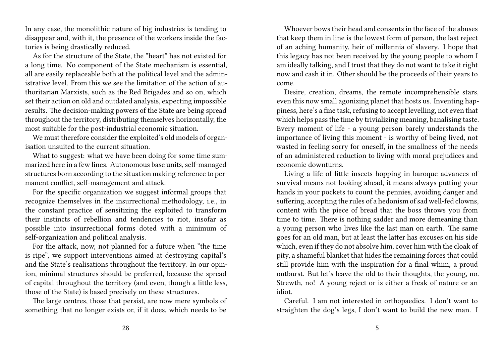In any case, the monolithic nature of big industries is tending to disappear and, with it, the presence of the workers inside the factories is being drastically reduced.

As for the structure of the State, the "heart" has not existed for a long time. No component of the State mechanism is essential, all are easily replaceable both at the political level and the administrative level. From this we see the limitation of the action of authoritarian Marxists, such as the Red Brigades and so on, which set their action on old and outdated analysis, expecting impossible results. The decision-making powers of the State are being spread throughout the territory, distributing themselves horizontally, the most suitable for the post-industrial economic situation.

We must therefore consider the exploited's old models of organisation unsuited to the current situation.

What to suggest: what we have been doing for some time summarized here in a few lines. Autonomous base units, self-managed structures born according to the situation making reference to permanent conflict, self-management and attack.

For the specific organization we suggest informal groups that recognize themselves in the insurrectional methodology, i.e., in the constant practice of sensitizing the exploited to transform their instincts of rebellion and tendencies to riot, insofar as possible into insurrectional forms doted with a minimum of self-organization and political analysis.

For the attack, now, not planned for a future when "the time is ripe", we support interventions aimed at destroying capital's and the State's realisations throughout the territory. In our opinion, minimal structures should be preferred, because the spread of capital throughout the territory (and even, though a little less, those of the State) is based precisely on these structures.

The large centres, those that persist, are now mere symbols of something that no longer exists or, if it does, which needs to be

Whoever bows their head and consents in the face of the abuses that keep them in line is the lowest form of person, the last reject of an aching humanity, heir of millennia of slavery. I hope that this legacy has not been received by the young people to whom I am ideally talking, and I trust that they do not want to take it right now and cash it in. Other should be the proceeds of their years to come.

Desire, creation, dreams, the remote incomprehensible stars, even this now small agonizing planet that hosts us. Inventing happiness, here's a fine task, refusing to accept levelling, not even that which helps pass the time by trivializing meaning, banalising taste. Every moment of life - a young person barely understands the importance of living this moment - is worthy of being lived, not wasted in feeling sorry for oneself, in the smallness of the needs of an administered reduction to living with moral prejudices and economic downturns.

Living a life of little insects hopping in baroque advances of survival means not looking ahead, it means always putting your hands in your pockets to count the pennies, avoiding danger and suffering, accepting the rules of a hedonism of sad well-fed clowns, content with the piece of bread that the boss throws you from time to time. There is nothing sadder and more demeaning than a young person who lives like the last man on earth. The same goes for an old man, but at least the latter has excuses on his side which, even if they do not absolve him, cover him with the cloak of pity, a shameful blanket that hides the remaining forces that could still provide him with the inspiration for a final whim, a proud outburst. But let's leave the old to their thoughts, the young, no. Strewth, no! A young reject or is either a freak of nature or an idiot.

Careful. I am not interested in orthopaedics. I don't want to straighten the dog's legs, I don't want to build the new man. I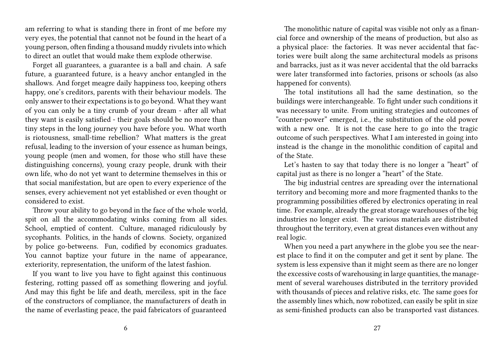am referring to what is standing there in front of me before my very eyes, the potential that cannot not be found in the heart of a young person, often finding a thousand muddy rivulets into which to direct an outlet that would make them explode otherwise.

Forget all guarantees, a guarantee is a ball and chain. A safe future, a guaranteed future, is a heavy anchor entangled in the shallows. And forget meagre daily happiness too, keeping others happy, one's creditors, parents with their behaviour models. The only answer to their expectations is to go beyond. What they want of you can only be a tiny crumb of your dream - after all what they want is easily satisfied - their goals should be no more than tiny steps in the long journey you have before you. What worth is riotousness, small-time rebellion? What matters is the great refusal, leading to the inversion of your essence as human beings, young people (men and women, for those who still have these distinguishing concerns), young crazy people, drunk with their own life, who do not yet want to determine themselves in this or that social manifestation, but are open to every experience of the senses, every achievement not yet established or even thought or considered to exist.

Throw your ability to go beyond in the face of the whole world, spit on all the accommodating winks coming from all sides. School, emptied of content. Culture, managed ridiculously by sycophants. Politics, in the hands of clowns. Society, organized by police go-betweens. Fun, codified by economics graduates. You cannot baptize your future in the name of appearance, exteriority, representation, the uniform of the latest fashion.

If you want to live you have to fight against this continuous festering, rotting passed off as something flowering and joyful. And may this fight be life and death, merciless, spit in the face of the constructors of compliance, the manufacturers of death in the name of everlasting peace, the paid fabricators of guaranteed

The monolithic nature of capital was visible not only as a financial force and ownership of the means of production, but also as a physical place: the factories. It was never accidental that factories were built along the same architectural models as prisons and barracks, just as it was never accidental that the old barracks were later transformed into factories, prisons or schools (as also happened for convents).

The total institutions all had the same destination, so the buildings were interchangeable. To fight under such conditions it was necessary to unite. From uniting strategies and outcomes of "counter-power" emerged, i.e., the substitution of the old power with a new one. It is not the case here to go into the tragic outcome of such perspectives. What I am interested in going into instead is the change in the monolithic condition of capital and of the State.

Let's hasten to say that today there is no longer a "heart" of capital just as there is no longer a "heart" of the State.

The big industrial centres are spreading over the international territory and becoming more and more fragmented thanks to the programming possibilities offered by electronics operating in real time. For example, already the great storage warehouses of the big industries no longer exist. The various materials are distributed throughout the territory, even at great distances even without any real logic.

When you need a part anywhere in the globe you see the nearest place to find it on the computer and get it sent by plane. The system is less expensive than it might seem as there are no longer the excessive costs of warehousing in large quantities, the management of several warehouses distributed in the territory provided with thousands of pieces and relative risks, etc. The same goes for the assembly lines which, now robotized, can easily be split in size as semi-finished products can also be transported vast distances.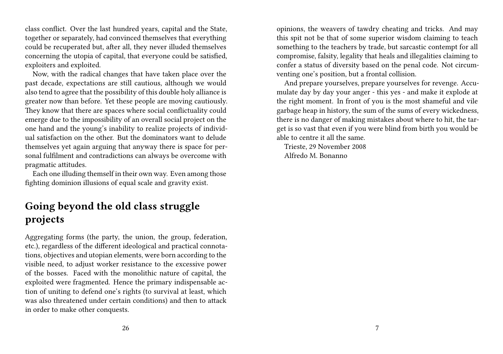class conflict. Over the last hundred years, capital and the State, together or separately, had convinced themselves that everything could be recuperated but, after all, they never illuded themselves concerning the utopia of capital, that everyone could be satisfied, exploiters and exploited.

Now, with the radical changes that have taken place over the past decade, expectations are still cautious, although we would also tend to agree that the possibility of this double holy alliance is greater now than before. Yet these people are moving cautiously. They know that there are spaces where social conflictuality could emerge due to the impossibility of an overall social project on the one hand and the young's inability to realize projects of individual satisfaction on the other. But the dominators want to delude themselves yet again arguing that anyway there is space for personal fulfilment and contradictions can always be overcome with pragmatic attitudes.

Each one illuding themself in their own way. Even among those fighting dominion illusions of equal scale and gravity exist.

# **Going beyond the old class struggle projects**

Aggregating forms (the party, the union, the group, federation, etc.), regardless of the different ideological and practical connotations, objectives and utopian elements, were born according to the visible need, to adjust worker resistance to the excessive power of the bosses. Faced with the monolithic nature of capital, the exploited were fragmented. Hence the primary indispensable action of uniting to defend one's rights (to survival at least, which was also threatened under certain conditions) and then to attack in order to make other conquests.

opinions, the weavers of tawdry cheating and tricks. And may this spit not be that of some superior wisdom claiming to teach something to the teachers by trade, but sarcastic contempt for all compromise, falsity, legality that heals and illegalities claiming to confer a status of diversity based on the penal code. Not circumventing one's position, but a frontal collision.

And prepare yourselves, prepare yourselves for revenge. Accumulate day by day your anger - this yes - and make it explode at the right moment. In front of you is the most shameful and vile garbage heap in history, the sum of the sums of every wickedness, there is no danger of making mistakes about where to hit, the target is so vast that even if you were blind from birth you would be able to centre it all the same.

Trieste, 29 November 2008 Alfredo M. Bonanno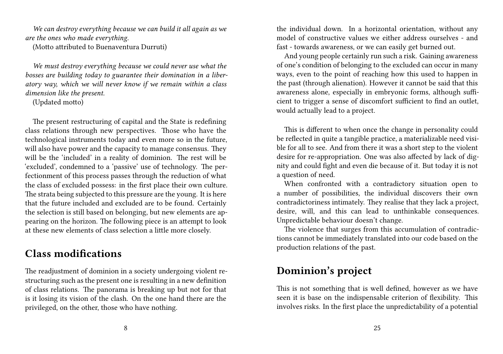*We can destroy everything because we can build it all again as we are the ones who made everything.*

(Motto attributed to Buenaventura Durruti)

*We must destroy everything because we could never use what the bosses are building today to guarantee their domination in a liberatory way, which we will never know if we remain within a class dimension like the present.*

(Updated motto)

The present restructuring of capital and the State is redefining class relations through new perspectives. Those who have the technological instruments today and even more so in the future, will also have power and the capacity to manage consensus. They will be the 'included' in a reality of dominion. The rest will be 'excluded', condemned to a 'passive' use of technology. The perfectionment of this process passes through the reduction of what the class of excluded possess: in the first place their own culture. The strata being subjected to this pressure are the young. It is here that the future included and excluded are to be found. Certainly the selection is still based on belonging, but new elements are appearing on the horizon. The following piece is an attempt to look at these new elements of class selection a little more closely.

# **Class modifications**

The readjustment of dominion in a society undergoing violent restructuring such as the present one is resulting in a new definition of class relations. The panorama is breaking up but not for that is it losing its vision of the clash. On the one hand there are the privileged, on the other, those who have nothing.

the individual down. In a horizontal orientation, without any model of constructive values we either address ourselves - and fast - towards awareness, or we can easily get burned out.

And young people certainly run such a risk. Gaining awareness of one's condition of belonging to the excluded can occur in many ways, even to the point of reaching how this used to happen in the past (through alienation). However it cannot be said that this awareness alone, especially in embryonic forms, although sufficient to trigger a sense of discomfort sufficient to find an outlet, would actually lead to a project.

This is different to when once the change in personality could be reflected in quite a tangible practice, a materializable need visible for all to see. And from there it was a short step to the violent desire for re-appropriation. One was also affected by lack of dignity and could fight and even die because of it. But today it is not a question of need.

When confronted with a contradictory situation open to a number of possibilities, the individual discovers their own contradictoriness intimately. They realise that they lack a project, desire, will, and this can lead to unthinkable consequences. Unpredictable behaviour doesn't change.

The violence that surges from this accumulation of contradictions cannot be immediately translated into our code based on the production relations of the past.

# **Dominion's project**

This is not something that is well defined, however as we have seen it is base on the indispensable criterion of flexibility. This involves risks. In the first place the unpredictability of a potential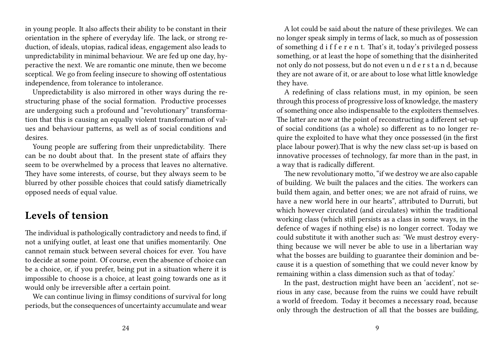in young people. It also affects their ability to be constant in their orientation in the sphere of everyday life. The lack, or strong reduction, of ideals, utopias, radical ideas, engagement also leads to unpredictability in minimal behaviour. We are fed up one day, hyperactive the next. We are romantic one minute, then we become sceptical. We go from feeling insecure to showing off ostentatious independence, from tolerance to intolerance.

Unpredictability is also mirrored in other ways during the restructuring phase of the social formation. Productive processes are undergoing such a profound and "revolutionary" transformation that this is causing an equally violent transformation of values and behaviour patterns, as well as of social conditions and desires.

Young people are suffering from their unpredictability. There can be no doubt about that. In the present state of affairs they seem to be overwhelmed by a process that leaves no alternative. They have some interests, of course, but they always seem to be blurred by other possible choices that could satisfy diametrically opposed needs of equal value.

#### **Levels of tension**

The individual is pathologically contradictory and needs to find, if not a unifying outlet, at least one that unifies momentarily. One cannot remain stuck between several choices for ever. You have to decide at some point. Of course, even the absence of choice can be a choice, or, if you prefer, being put in a situation where it is impossible to choose is a choice, at least going towards one as it would only be irreversible after a certain point.

We can continue living in flimsy conditions of survival for long periods, but the consequences of uncertainty accumulate and wear

A lot could be said about the nature of these privileges. We can no longer speak simply in terms of lack, so much as of possession of something d i f f e r e n t. That's it, today's privileged possess something, or at least the hope of something that the disinherited not only do not possess, but do not even u n d e r s t a n d, because they are not aware of it, or are about to lose what little knowledge they have.

A redefining of class relations must, in my opinion, be seen through this process of progressive loss of knowledge, the mastery of something once also indispensable to the exploiters themselves. The latter are now at the point of reconstructing a different set-up of social conditions (as a whole) so different as to no longer require the exploited to have what they once possessed (in the first place labour power).That is why the new class set-up is based on innovative processes of technology, far more than in the past, in a way that is radically different.

The new revolutionary motto, "if we destroy we are also capable of building. We built the palaces and the cities. The workers can build them again, and better ones; we are not afraid of ruins, we have a new world here in our hearts", attributed to Durruti, but which however circulated (and circulates) within the traditional working class (which still persists as a class in some ways, in the defence of wages if nothing else) is no longer correct. Today we could substitute it with another such as: 'We must destroy everything because we will never be able to use in a libertarian way what the bosses are building to guarantee their dominion and because it is a question of something that we could never know by remaining within a class dimension such as that of today.'

In the past, destruction might have been an 'accident', not serious in any case, because from the ruins we could have rebuilt a world of freedom. Today it becomes a necessary road, because only through the destruction of all that the bosses are building,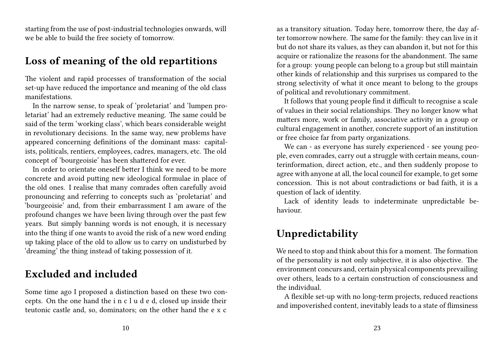starting from the use of post-industrial technologies onwards, will we be able to build the free society of tomorrow.

#### **Loss of meaning of the old repartitions**

The violent and rapid processes of transformation of the social set-up have reduced the importance and meaning of the old class manifestations.

In the narrow sense, to speak of 'proletariat' and 'lumpen proletariat' had an extremely reductive meaning. The same could be said of the term 'working class', which bears considerable weight in revolutionary decisions. In the same way, new problems have appeared concerning definitions of the dominant mass: capitalists, politicals, rentiers, employees, cadres, managers, etc. The old concept of 'bourgeoisie' has been shattered for ever.

In order to orientate oneself better I think we need to be more concrete and avoid putting new ideological formulae in place of the old ones. I realise that many comrades often carefully avoid pronouncing and referring to concepts such as 'proletariat' and 'bourgeoisie' and, from their embarrassment I am aware of the profound changes we have been living through over the past few years. But simply banning words is not enough, it is necessary into the thing if one wants to avoid the risk of a new word ending up taking place of the old to allow us to carry on undisturbed by 'dreaming' the thing instead of taking possession of it.

#### **Excluded and included**

Some time ago I proposed a distinction based on these two concepts. On the one hand the i n c l u d e d, closed up inside their teutonic castle and, so, dominators; on the other hand the e x c

as a transitory situation. Today here, tomorrow there, the day after tomorrow nowhere. The same for the family: they can live in it but do not share its values, as they can abandon it, but not for this acquire or rationalize the reasons for the abandonment. The same for a group: young people can belong to a group but still maintain other kinds of relationship and this surprises us compared to the strong selectivity of what it once meant to belong to the groups of political and revolutionary commitment.

It follows that young people find it difficult to recognise a scale of values in their social relationships. They no longer know what matters more, work or family, associative activity in a group or cultural engagement in another, concrete support of an institution or free choice far from party organizations.

We can - as everyone has surely experienced - see young people, even comrades, carry out a struggle with certain means, counterinformation, direct action, etc., and then suddenly propose to agree with anyone at all, the local council for example, to get some concession. This is not about contradictions or bad faith, it is a question of lack of identity.

Lack of identity leads to indeterminate unpredictable behaviour.

## **Unpredictability**

We need to stop and think about this for a moment. The formation of the personality is not only subjective, it is also objective. The environment concurs and, certain physical components prevailing over others, leads to a certain construction of consciousness and the individual.

A flexible set-up with no long-term projects, reduced reactions and impoverished content, inevitably leads to a state of flimsiness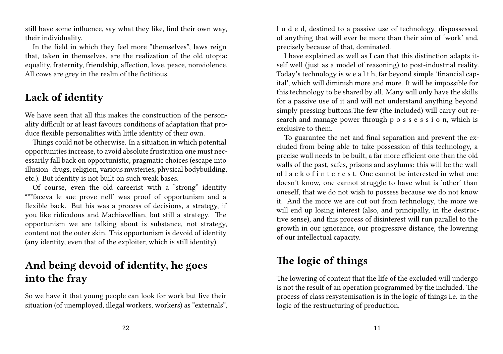still have some influence, say what they like, find their own way, their individuality.

In the field in which they feel more "themselves", laws reign that, taken in themselves, are the realization of the old utopia: equality, fraternity, friendship, affection, love, peace, nonviolence. All cows are grey in the realm of the fictitious.

### **Lack of identity**

We have seen that all this makes the construction of the personality difficult or at least favours conditions of adaptation that produce flexible personalities with little identity of their own.

Things could not be otherwise. In a situation in which potential opportunities increase, to avoid absolute frustration one must necessarily fall back on opportunistic, pragmatic choices (escape into illusion: drugs, religion, various mysteries, physical bodybuilding, etc.). But identity is not built on such weak bases.

Of course, even the old careerist with a "strong" identity \*\*\*faceva le sue prove nell' was proof of opportunism and a flexible back. But his was a process of decisions, a strategy, if you like ridiculous and Machiavellian, but still a strategy. The opportunism we are talking about is substance, not strategy, content not the outer skin. This opportunism is devoid of identity (any identity, even that of the exploiter, which is still identity).

#### **And being devoid of identity, he goes into the fray**

So we have it that young people can look for work but live their situation (of unemployed, illegal workers, workers) as "externals", l u d e d, destined to a passive use of technology, dispossessed of anything that will ever be more than their aim of 'work' and, precisely because of that, dominated.

I have explained as well as I can that this distinction adapts itself well (just as a model of reasoning) to post-industrial reality. Today's technology is w e a l t h, far beyond simple 'financial capital', which will diminish more and more. It will be impossible for this technology to be shared by all. Many will only have the skills for a passive use of it and will not understand anything beyond simply pressing buttons.The few (the included) will carry out research and manage power through p o s s e s s i o n, which is exclusive to them.

To guarantee the net and final separation and prevent the excluded from being able to take possession of this technology, a precise wall needs to be built, a far more efficient one than the old walls of the past, safes, prisons and asylums: this will be the wall of l a c k o f i n t e r e s t. One cannot be interested in what one doesn't know, one cannot struggle to have what is 'other' than oneself, that we do not wish to possess because we do not know it. And the more we are cut out from technology, the more we will end up losing interest (also, and principally, in the destructive sense), and this process of disinterest will run parallel to the growth in our ignorance, our progressive distance, the lowering of our intellectual capacity.

# **The logic of things**

The lowering of content that the life of the excluded will undergo is not the result of an operation programmed by the included. The process of class resystemisation is in the logic of things i.e. in the logic of the restructuring of production.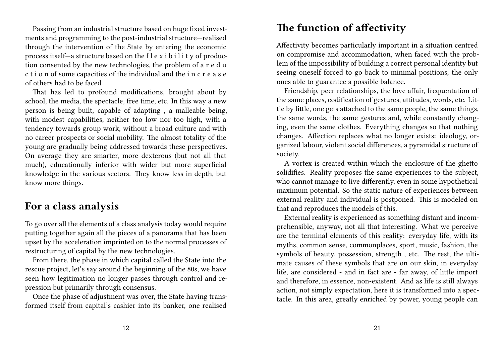Passing from an industrial structure based on huge fixed investments and programming to the post-industrial structure—realised through the intervention of the State by entering the economic process itself—a structure based on the  $f \mid e \times i$  b i l i t y of production consented by the new technologies, the problem of a r e d u c t i o n of some capacities of the individual and the i n c r e a s e of others had to be faced.

That has led to profound modifications, brought about by school, the media, the spectacle, free time, etc. In this way a new person is being built, capable of adapting , a malleable being, with modest capabilities, neither too low nor too high, with a tendency towards group work, without a broad culture and with no career prospects or social mobility. The almost totality of the young are gradually being addressed towards these perspectives. On average they are smarter, more dexterous (but not all that much), educationally inferior with wider but more superficial knowledge in the various sectors. They know less in depth, but know more things.

#### **For a class analysis**

To go over all the elements of a class analysis today would require putting together again all the pieces of a panorama that has been upset by the acceleration imprinted on to the normal processes of restructuring of capital by the new technologies.

From there, the phase in which capital called the State into the rescue project, let's say around the beginning of the 80s, we have seen how legitimation no longer passes through control and repression but primarily through consensus.

Once the phase of adjustment was over, the State having transformed itself from capital's cashier into its banker, one realised

#### **The function of affectivity**

Affectivity becomes particularly important in a situation centred on compromise and accommodation, when faced with the problem of the impossibility of building a correct personal identity but seeing oneself forced to go back to minimal positions, the only ones able to guarantee a possible balance.

Friendship, peer relationships, the love affair, frequentation of the same places, codification of gestures, attitudes, words, etc. Little by little, one gets attached to the same people, the same things, the same words, the same gestures and, while constantly changing, even the same clothes. Everything changes so that nothing changes. Affection replaces what no longer exists: ideology, organized labour, violent social differences, a pyramidal structure of society.

A vortex is created within which the enclosure of the ghetto solidifies. Reality proposes the same experiences to the subject, who cannot manage to live differently, even in some hypothetical maximum potential. So the static nature of experiences between external reality and individual is postponed. This is modeled on that and reproduces the models of this.

External reality is experienced as something distant and incomprehensible, anyway, not all that interesting. What we perceive are the terminal elements of this reality: everyday life, with its myths, common sense, commonplaces, sport, music, fashion, the symbols of beauty, possession, strength , etc. The rest, the ultimate causes of these symbols that are on our skin, in everyday life, are considered - and in fact are - far away, of little import and therefore, in essence, non-existent. And as life is still always action, not simply expectation, here it is transformed into a spectacle. In this area, greatly enriched by power, young people can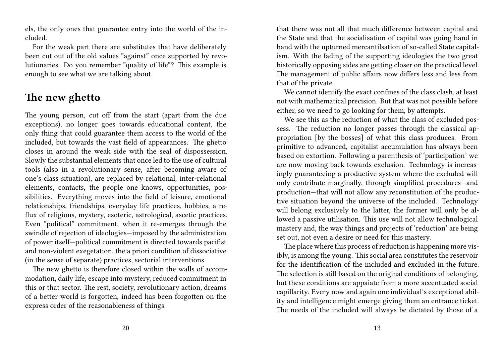els, the only ones that guarantee entry into the world of the included.

For the weak part there are substitutes that have deliberately been cut out of the old values "against" once supported by revolutionaries. Do you remember "quality of life"? This example is enough to see what we are talking about.

#### **The new ghetto**

The young person, cut off from the start (apart from the due exceptions), no longer goes towards educational content, the only thing that could guarantee them access to the world of the included, but towards the vast field of appearances. The ghetto closes in around the weak side with the seal of dispossession. Slowly the substantial elements that once led to the use of cultural tools (also in a revolutionary sense, after becoming aware of one's class situation), are replaced by relational, inter-relational elements, contacts, the people one knows, opportunities, possibilities. Everything moves into the field of leisure, emotional relationships, friendships, everyday life practices, hobbies, a reflux of religious, mystery, esoteric, astrological, ascetic practices. Even "political" commitment, when it re-emerges through the swindle of rejection of ideologies—imposed by the administration of power itself—political commitment is directed towards pacifist and non-violent exegetation, the a priori condition of dissociative (in the sense of separate) practices, sectorial interventions.

The new ghetto is therefore closed within the walls of accommodation, daily life, escape into mystery, reduced commitment in this or that sector. The rest, society, revolutionary action, dreams of a better world is forgotten, indeed has been forgotten on the express order of the reasonableness of things.

that there was not all that much difference between capital and the State and that the socialisation of capital was going hand in hand with the upturned mercantilsation of so-called State capitalism. With the fading of the supporting ideologies the two great historically opposing sides are getting closer on the practical level. The management of public affairs now differs less and less from that of the private.

We cannot identify the exact confines of the class clash, at least not with mathematical precision. But that was not possible before either, so we need to go looking for them, by attempts.

We see this as the reduction of what the class of excluded possess. The reduction no longer passes through the classical appropriation [by the bosses] of what this class produces. From primitive to advanced, capitalist accumulation has always been based on extortion. Following a parenthesis of 'participation' we are now moving back towards exclusion. Technology is increasingly guaranteeing a productive system where the excluded will only contribute marginally, through simplified procedures—and production—that will not allow any reconstitution of the productive situation beyond the universe of the included. Technology will belong exclusively to the latter, the former will only be allowed a passive utilisation. This use will not allow technological mastery and, the way things and projects of 'reduction' are being set out, not even a desire or need for this mastery.

The place where this process of reduction is happening more visibly, is among the young. This social area constitutes the reservoir for the identification of the included and excluded in the future. The selection is still based on the original conditions of belonging, but these conditions are appaiate from a more accentuated social capillarity. Every now and again one individual's exceptional ability and intelligence might emerge giving them an entrance ticket. The needs of the included will always be dictated by those of a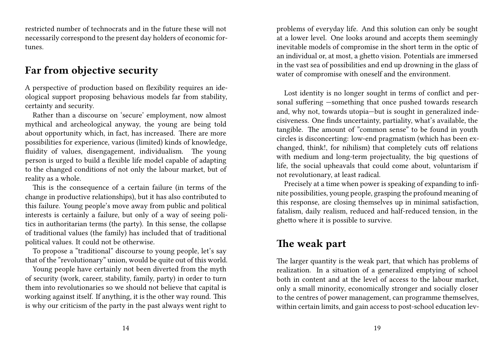restricted number of technocrats and in the future these will not necessarily correspond to the present day holders of economic fortunes.

#### **Far from objective security**

A perspective of production based on flexibility requires an ideological support proposing behavious models far from stability, certainty and security.

Rather than a discourse on 'secure' employment, now almost mythical and archeological anyway, the young are being told about opportunity which, in fact, has increased. There are more possibilities for experience, various (limited) kinds of knowledge, fluidity of values, disengagement, individualism. The young person is urged to build a flexible life model capable of adapting to the changed conditions of not only the labour market, but of reality as a whole.

This is the consequence of a certain failure (in terms of the change in productive relationships), but it has also contributed to this failure. Young people's move away from public and political interests is certainly a failure, but only of a way of seeing politics in authoritarian terms (the party). In this sense, the collapse of traditional values (the family) has included that of traditional political values. It could not be otherwise.

To propose a "traditional" discourse to young people, let's say that of the "revolutionary" union, would be quite out of this world.

Young people have certainly not been diverted from the myth of security (work, career, stability, family, party) in order to turn them into revolutionaries so we should not believe that capital is working against itself. If anything, it is the other way round. This is why our criticism of the party in the past always went right to

problems of everyday life. And this solution can only be sought at a lower level. One looks around and accepts them seemingly inevitable models of compromise in the short term in the optic of an individual or, at most, a ghetto vision. Potentials are immersed in the vast sea of possibilities and end up drowning in the glass of water of compromise with oneself and the environment.

Lost identity is no longer sought in terms of conflict and personal suffering —something that once pushed towards research and, why not, towards utopia—but is sought in generalized indecisiveness. One finds uncertainty, partiality, what's available, the tangible. The amount of "common sense" to be found in youth circles is disconcerting: low-end pragmatism (which has been exchanged, think!, for nihilism) that completely cuts off relations with medium and long-term projectuality, the big questions of life, the social upheavals that could come about, voluntarism if not revolutionary, at least radical.

Precisely at a time when power is speaking of expanding to infinite possibilities, young people, grasping the profound meaning of this response, are closing themselves up in minimal satisfaction, fatalism, daily realism, reduced and half-reduced tension, in the ghetto where it is possible to survive.

# **The weak part**

The larger quantity is the weak part, that which has problems of realization. In a situation of a generalized emptying of school both in content and at the level of access to the labour market, only a small minority, economically stronger and socially closer to the centres of power management, can programme themselves, within certain limits, and gain access to post-school education lev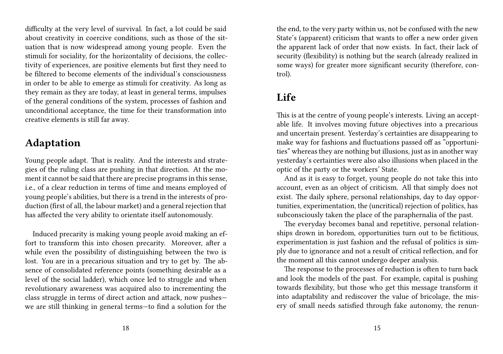difficulty at the very level of survival. In fact, a lot could be said about creativity in coercive conditions, such as those of the situation that is now widespread among young people. Even the stimuli for sociality, for the horizontality of decisions, the collectivity of experiences, are positive elements but first they need to be filtered to become elements of the individual's consciousness in order to be able to emerge as stimuli for creativity. As long as they remain as they are today, at least in general terms, impulses of the general conditions of the system, processes of fashion and unconditional acceptance, the time for their transformation into creative elements is still far away.

#### **Adaptation**

Young people adapt. That is reality. And the interests and strategies of the ruling class are pushing in that direction. At the moment it cannot be said that there are precise programs in this sense, i.e., of a clear reduction in terms of time and means employed of young people's abilities, but there is a trend in the interests of production (first of all, the labour market) and a general rejection that has affected the very ability to orientate itself autonomously.

Induced precarity is making young people avoid making an effort to transform this into chosen precarity. Moreover, after a while even the possibility of distinguishing between the two is lost. You are in a precarious situation and try to get by. The absence of consolidated reference points (something desirable as a level of the social ladder), which once led to struggle and when revolutionary awareness was acquired also to incrementing the class struggle in terms of direct action and attack, now pushes we are still thinking in general terms—to find a solution for the

the end, to the very party within us, not be confused with the new State's (apparent) criticism that wants to offer a new order given the apparent lack of order that now exists. In fact, their lack of security (flexibility) is nothing but the search (already realized in some ways) for greater more significant security (therefore, control).

# **Life**

This is at the centre of young people's interests. Living an acceptable life. It involves moving future objectives into a precarious and uncertain present. Yesterday's certainties are disappearing to make way for fashions and fluctuations passed off as "opportunities" whereas they are nothing but illusions, just as in another way yesterday's certainties were also also illusions when placed in the optic of the party or the workers' State.

And as it is easy to forget, young people do not take this into account, even as an object of criticism. All that simply does not exist. The daily sphere, personal relationships, day to day opportunities, experimentation, the (uncritical) rejection of politics, has subconsciously taken the place of the paraphernalia of the past.

The everyday becomes banal and repetitive, personal relationships drown in boredom, opportunities turn out to be fictitious, experimentation is just fashion and the refusal of politics is simply due to ignorance and not a result of critical reflection, and for the moment all this cannot undergo deeper analysis.

The response to the processes of reduction is often to turn back and look the models of the past. For example, capital is pushing towards flexibility, but those who get this message transform it into adaptability and rediscover the value of bricolage, the misery of small needs satisfied through fake autonomy, the renun